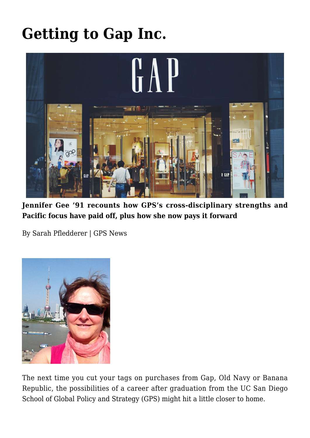## **[Getting to Gap Inc.](https://gpsnews.ucsd.edu/getting-to-gap-inc/)**



**Jennifer Gee '91 recounts how GPS's cross-disciplinary strengths and Pacific focus have paid off, plus how she now pays it forward**

By Sarah Pfledderer | GPS News



The next time you cut your tags on purchases from Gap, Old Navy or Banana Republic, the possibilities of a career after graduation from the UC San Diego School of Global Policy and Strategy (GPS) might hit a little closer to home.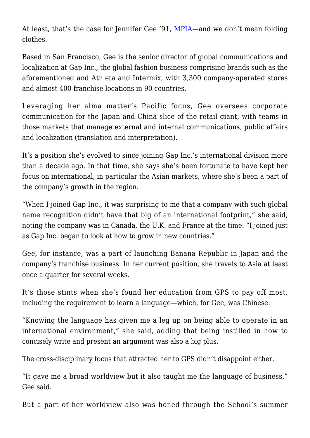At least, that's the case for Jennifer Gee '91, [MPIA](https://gps.ucsd.edu/academics/mia.html)—and we don't mean folding clothes.

Based in San Francisco, Gee is the senior director of global communications and localization at Gap Inc., the global fashion business comprising brands such as the aforementioned and Athleta and Intermix, with 3,300 company-operated stores and almost 400 franchise locations in 90 countries.

Leveraging her alma matter's Pacific focus, Gee oversees corporate communication for the Japan and China slice of the retail giant, with teams in those markets that manage external and internal communications, public affairs and localization (translation and interpretation).

It's a position she's evolved to since joining Gap Inc.'s international division more than a decade ago. In that time, she says she's been fortunate to have kept her focus on international, in particular the Asian markets, where she's been a part of the company's growth in the region.

"When I joined Gap Inc., it was surprising to me that a company with such global name recognition didn't have that big of an international footprint," she said, noting the company was in Canada, the U.K. and France at the time. "I joined just as Gap Inc. began to look at how to grow in new countries."

Gee, for instance, was a part of launching Banana Republic in Japan and the company's franchise business. In her current position, she travels to Asia at least once a quarter for several weeks.

It's those stints when she's found her education from GPS to pay off most, including the requirement to learn a language—which, for Gee, was Chinese.

"Knowing the language has given me a leg up on being able to operate in an international environment," she said, adding that being instilled in how to concisely write and present an argument was also a big plus.

The cross-disciplinary focus that attracted her to GPS didn't disappoint either.

"It gave me a broad worldview but it also taught me the language of business," Gee said.

But a part of her worldview also was honed through the School's summer